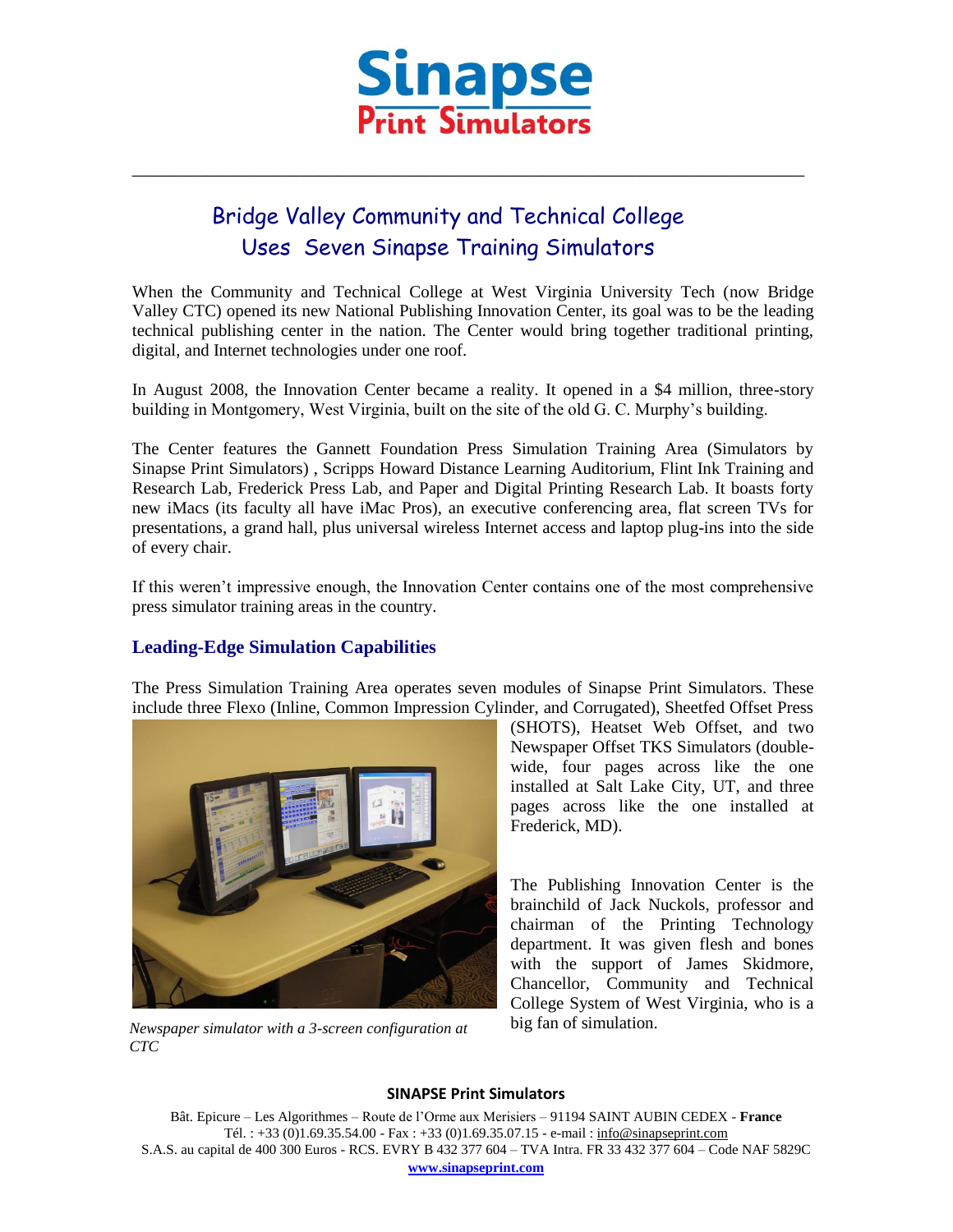

\_\_\_\_\_\_\_\_\_\_\_\_\_\_\_\_\_\_\_\_\_\_\_\_\_\_\_\_\_\_\_\_\_\_\_\_\_\_\_\_\_\_\_\_\_\_\_\_\_\_\_\_\_\_\_\_\_\_\_\_\_\_\_\_\_\_\_\_\_\_\_\_

# Bridge Valley Community and Technical College Uses Seven Sinapse Training Simulators

When the Community and Technical College at West Virginia University Tech (now Bridge Valley CTC) opened its new National Publishing Innovation Center, its goal was to be the leading technical publishing center in the nation. The Center would bring together traditional printing, digital, and Internet technologies under one roof.

In August 2008, the Innovation Center became a reality. It opened in a \$4 million, three-story building in Montgomery, West Virginia, built on the site of the old G. C. Murphy's building.

The Center features the Gannett Foundation Press Simulation Training Area (Simulators by Sinapse Print Simulators) , Scripps Howard Distance Learning Auditorium, Flint Ink Training and Research Lab, Frederick Press Lab, and Paper and Digital Printing Research Lab. It boasts forty new iMacs (its faculty all have iMac Pros), an executive conferencing area, flat screen TVs for presentations, a grand hall, plus universal wireless Internet access and laptop plug-ins into the side of every chair.

If this weren't impressive enough, the Innovation Center contains one of the most comprehensive press simulator training areas in the country.

## **Leading-Edge Simulation Capabilities**

The Press Simulation Training Area operates seven modules of Sinapse Print Simulators. These include three Flexo (Inline, Common Impression Cylinder, and Corrugated), Sheetfed Offset Press



big fan of simulation. *Newspaper simulator with a 3-screen configuration at CTC*

(SHOTS), Heatset Web Offset, and two Newspaper Offset TKS Simulators (doublewide, four pages across like the one installed at Salt Lake City, UT, and three pages across like the one installed at Frederick, MD).

The Publishing Innovation Center is the brainchild of Jack Nuckols, professor and chairman of the Printing Technology department. It was given flesh and bones with the support of James Skidmore, Chancellor, Community and Technical College System of West Virginia, who is a

#### **SINAPSE Print Simulators**

Bât. Epicure – Les Algorithmes – Route de l'Orme aux Merisiers – 91194 SAINT AUBIN CEDEX - **France** Tél. : +33 (0)1.69.35.54.00 - Fax : +33 (0)1.69.35.07.15 - e-mail : info@sinapseprint.com S.A.S. au capital de 400 300 Euros - RCS. EVRY B 432 377 604 – TVA Intra. FR 33 432 377 604 – Code NAF 5829C **[www.sinapseprint.com](http://www.sinapseprint.com/)**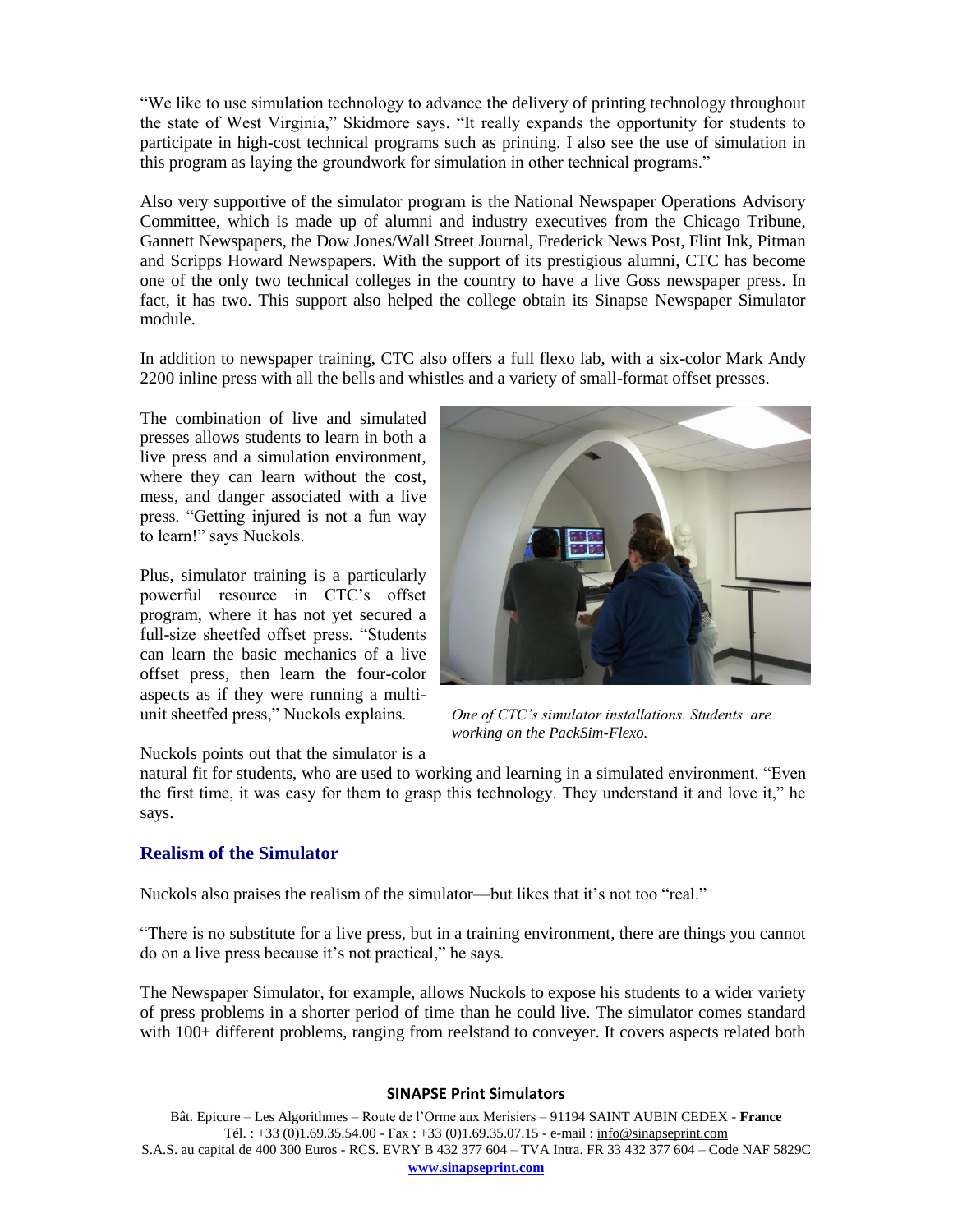"We like to use simulation technology to advance the delivery of printing technology throughout the state of West Virginia," Skidmore says. "It really expands the opportunity for students to participate in high-cost technical programs such as printing. I also see the use of simulation in this program as laying the groundwork for simulation in other technical programs."

Also very supportive of the simulator program is the National Newspaper Operations Advisory Committee, which is made up of alumni and industry executives from the Chicago Tribune, Gannett Newspapers, the Dow Jones/Wall Street Journal, Frederick News Post, Flint Ink, Pitman and Scripps Howard Newspapers. With the support of its prestigious alumni, CTC has become one of the only two technical colleges in the country to have a live Goss newspaper press. In fact, it has two. This support also helped the college obtain its Sinapse Newspaper Simulator module.

In addition to newspaper training, CTC also offers a full flexo lab, with a six-color Mark Andy 2200 inline press with all the bells and whistles and a variety of small-format offset presses.

The combination of live and simulated presses allows students to learn in both a live press and a simulation environment, where they can learn without the cost, mess, and danger associated with a live press. "Getting injured is not a fun way to learn!" says Nuckols.

Plus, simulator training is a particularly powerful resource in CTC's offset program, where it has not yet secured a full-size sheetfed offset press. "Students can learn the basic mechanics of a live offset press, then learn the four-color aspects as if they were running a multiunit sheetfed press," Nuckols explains.



*One of CTC's simulator installations. Students are working on the PackSim-Flexo.*

Nuckols points out that the simulator is a

natural fit for students, who are used to working and learning in a simulated environment. "Even the first time, it was easy for them to grasp this technology. They understand it and love it," he says.

## **Realism of the Simulator**

Nuckols also praises the realism of the simulator—but likes that it's not too "real."

"There is no substitute for a live press, but in a training environment, there are things you cannot do on a live press because it's not practical," he says.

The Newspaper Simulator, for example, allows Nuckols to expose his students to a wider variety of press problems in a shorter period of time than he could live. The simulator comes standard with 100+ different problems, ranging from reelstand to conveyer. It covers aspects related both

#### **SINAPSE Print Simulators**

Bât. Epicure – Les Algorithmes – Route de l'Orme aux Merisiers – 91194 SAINT AUBIN CEDEX - **France** Tél. : +33 (0)1.69.35.54.00 - Fax : +33 (0)1.69.35.07.15 - e-mail : info@sinapseprint.com S.A.S. au capital de 400 300 Euros - RCS. EVRY B 432 377 604 – TVA Intra. FR 33 432 377 604 – Code NAF 5829C **[www.sinapseprint.com](http://www.sinapseprint.com/)**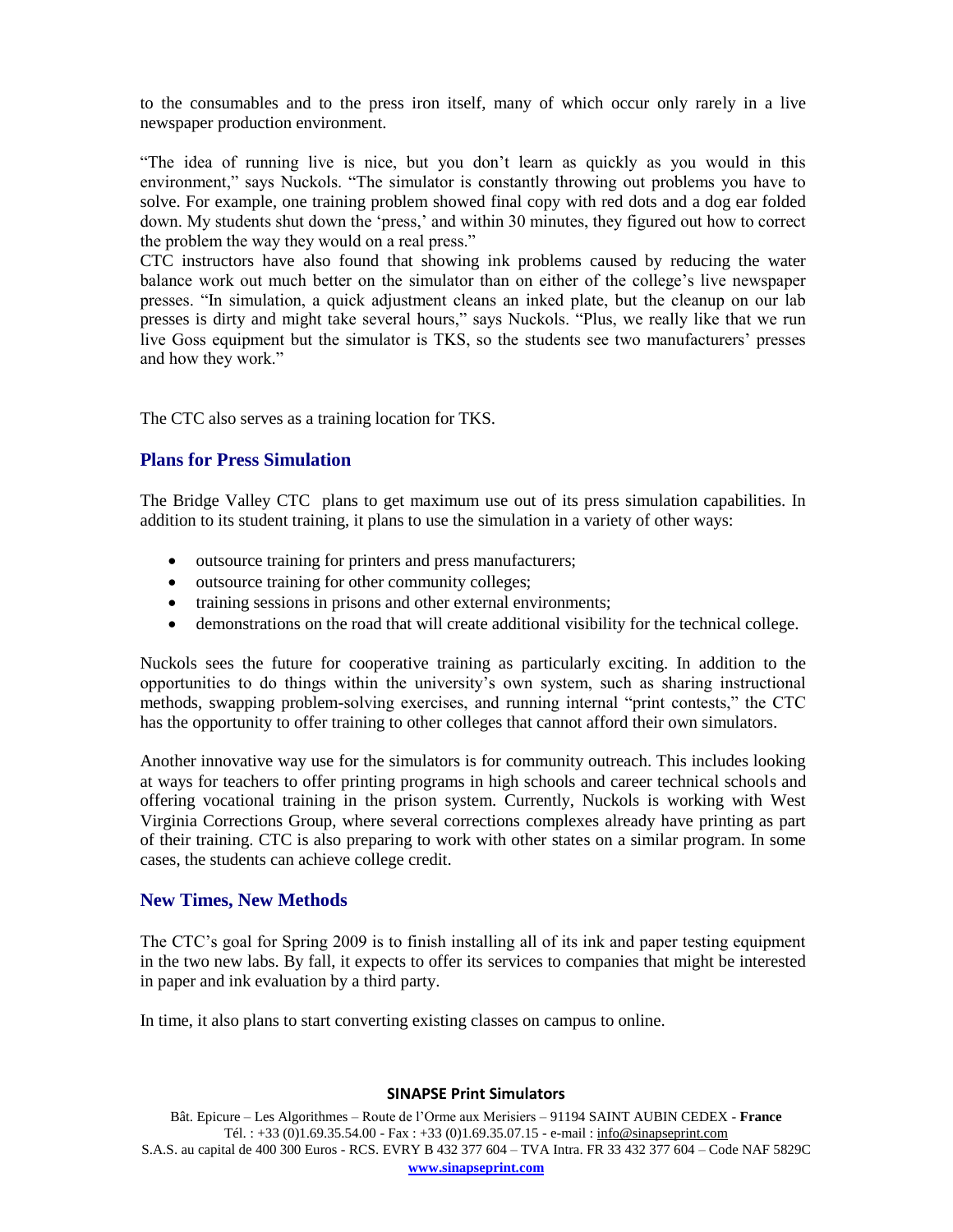to the consumables and to the press iron itself, many of which occur only rarely in a live newspaper production environment.

"The idea of running live is nice, but you don't learn as quickly as you would in this environment," says Nuckols. "The simulator is constantly throwing out problems you have to solve. For example, one training problem showed final copy with red dots and a dog ear folded down. My students shut down the 'press,' and within 30 minutes, they figured out how to correct the problem the way they would on a real press."

CTC instructors have also found that showing ink problems caused by reducing the water balance work out much better on the simulator than on either of the college's live newspaper presses. "In simulation, a quick adjustment cleans an inked plate, but the cleanup on our lab presses is dirty and might take several hours," says Nuckols. "Plus, we really like that we run live Goss equipment but the simulator is TKS, so the students see two manufacturers' presses and how they work."

The CTC also serves as a training location for TKS.

## **Plans for Press Simulation**

The Bridge Valley CTC plans to get maximum use out of its press simulation capabilities. In addition to its student training, it plans to use the simulation in a variety of other ways:

- outsource training for printers and press manufacturers;
- $\bullet$  outsource training for other community colleges;
- training sessions in prisons and other external environments;
- demonstrations on the road that will create additional visibility for the technical college.

Nuckols sees the future for cooperative training as particularly exciting. In addition to the opportunities to do things within the university's own system, such as sharing instructional methods, swapping problem-solving exercises, and running internal "print contests," the CTC has the opportunity to offer training to other colleges that cannot afford their own simulators.

Another innovative way use for the simulators is for community outreach. This includes looking at ways for teachers to offer printing programs in high schools and career technical schools and offering vocational training in the prison system. Currently, Nuckols is working with West Virginia Corrections Group, where several corrections complexes already have printing as part of their training. CTC is also preparing to work with other states on a similar program. In some cases, the students can achieve college credit.

## **New Times, New Methods**

The CTC's goal for Spring 2009 is to finish installing all of its ink and paper testing equipment in the two new labs. By fall, it expects to offer its services to companies that might be interested in paper and ink evaluation by a third party.

In time, it also plans to start converting existing classes on campus to online.

#### **SINAPSE Print Simulators**